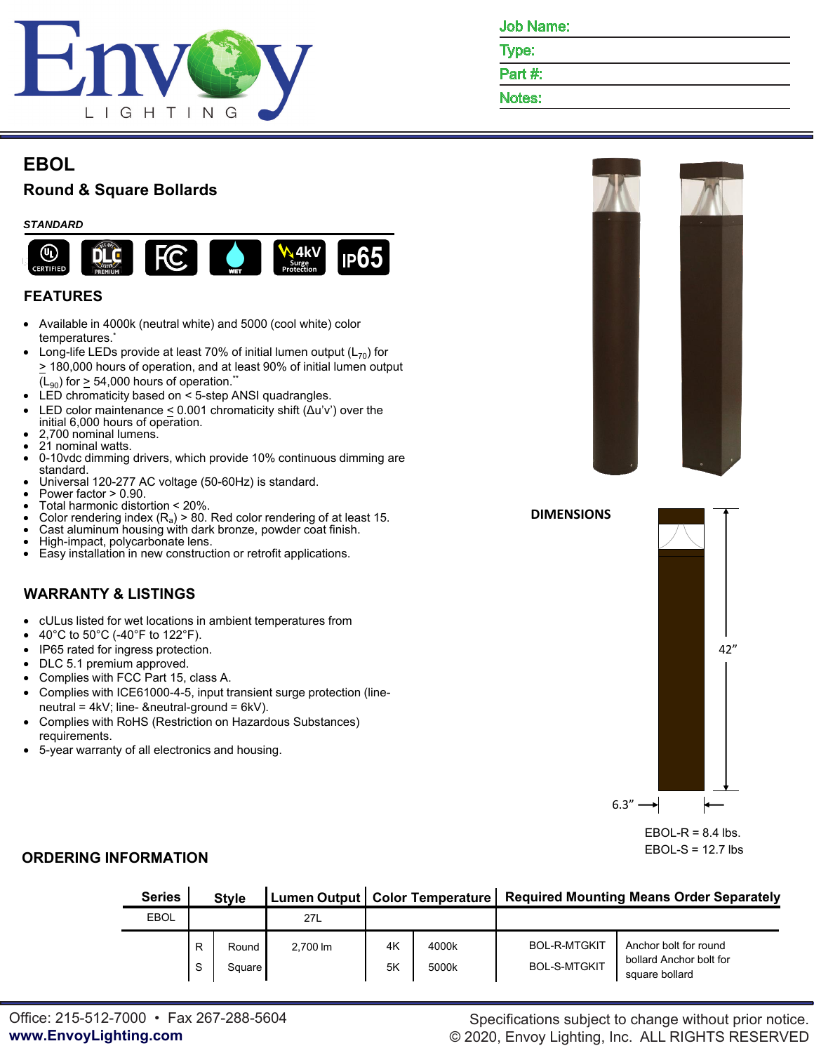

**DIMENSIONS**

Type:

Part #:

Notes:

# **EBOL**

# **Round & Square Bollards**

### *STANDARD*



## **FEATURES**

- Available in 4000k (neutral white) and 5000 (cool white) color temperatures.\*
- Long-life LEDs provide at least 70% of initial lumen output  $(L_{70})$  for > 180,000 hours of operation, and at least 90% of initial lumen output  $(L_{90})$  for  $> 54,000$  hours of operation.<sup>\*\*</sup>
- LED chromaticity based on < 5-step ANSI quadrangles.
- LED color maintenance  $\leq$  0.001 chromaticity shift ( $\Delta$ u'v') over the initial 6,000 hours of operation.
- 2,700 nominal lumens.
- 21 nominal watts.
- 0-10vdc dimming drivers, which provide 10% continuous dimming are standard.
- Universal 120-277 AC voltage (50-60Hz) is standard.
- Power factor > 0.90.
- Total harmonic distortion < 20%.
- Color rendering index  $(R_a)$  > 80. Red color rendering of at least 15.
- Cast aluminum housing with dark bronze, powder coat finish.
- High-impact, polycarbonate lens.
- Easy installation in new construction or retrofit applications.

### **WARRANTY & LISTINGS**

- cULus listed for wet locations in ambient temperatures from
- $\blacktriangleright$  40°C to 50°C (-40°F to 122°F).
- IP65 rated for ingress protection.
- DLC 5.1 premium approved.
- Complies with FCC Part 15, class A.
- Complies with ICE61000-4-5, input transient surge protection (lineneutral = 4kV; line- &neutral-ground = 6kV).
- Complies with RoHS (Restriction on Hazardous Substances) requirements.
- 5-year warranty of all electronics and housing.





EBOL-S =  $12.7$  lbs

### **ORDERING INFORMATION**

| <b>Series</b> | <b>Style</b> |                 |          |          |                | Lumen Output   Color Temperature   Required Mounting Means Order Separately |                                                                    |  |  |
|---------------|--------------|-----------------|----------|----------|----------------|-----------------------------------------------------------------------------|--------------------------------------------------------------------|--|--|
| <b>EBOL</b>   |              |                 | 27L      |          |                |                                                                             |                                                                    |  |  |
|               | R<br>S       | Round<br>Square | 2.700 lm | 4K<br>5K | 4000k<br>5000k | <b>BOL-R-MTGKIT</b><br><b>BOL-S-MTGKIT</b>                                  | Anchor bolt for round<br>bollard Anchor bolt for<br>square bollard |  |  |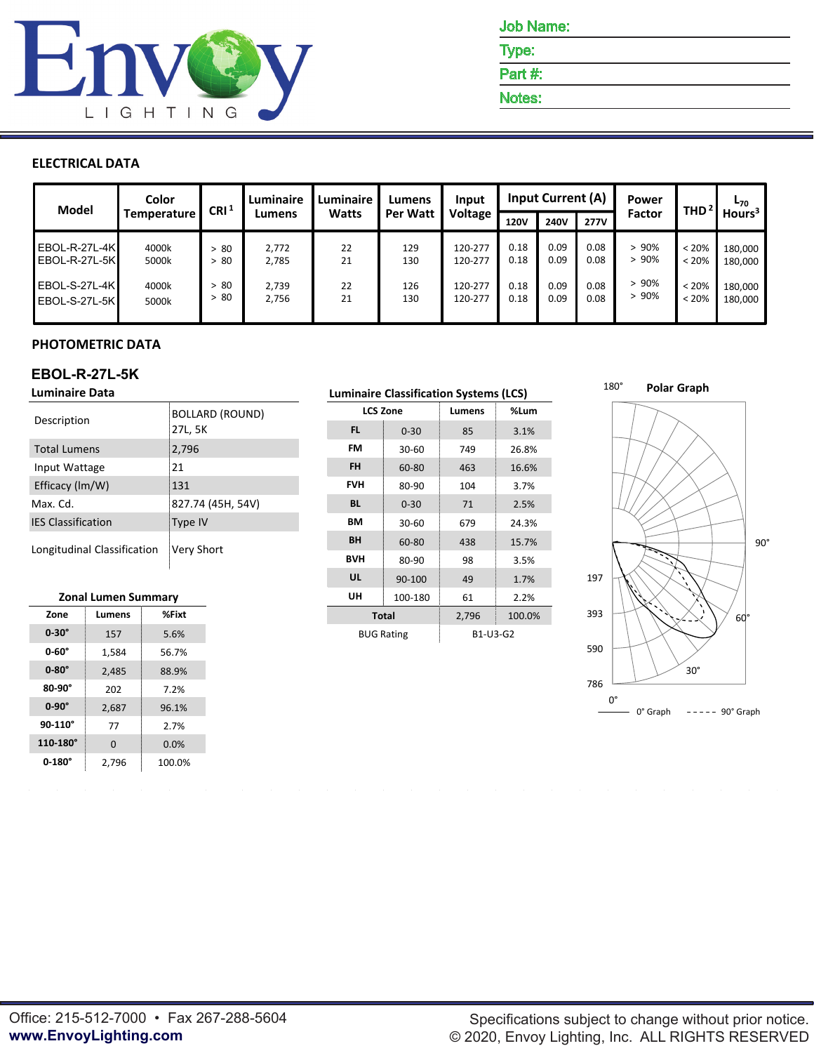

Job Name:

Type:

Part #:

Notes:

### **ELECTRICAL DATA**

| <b>Model</b>    | Color       | CRI <sup>1</sup> | Luminaire | <b>Luminaire</b> | Lumens          | Input          |             | <b>Input Current (A)</b> |             | Power  | THD <sup>2</sup> | L <sub>70</sub>    |
|-----------------|-------------|------------------|-----------|------------------|-----------------|----------------|-------------|--------------------------|-------------|--------|------------------|--------------------|
|                 | Temperature |                  | Lumens    | <b>Watts</b>     | <b>Per Watt</b> | <b>Voltage</b> | <b>120V</b> | 240V                     | <b>277V</b> | Factor |                  | Hours <sup>3</sup> |
| EBOL-R-27L-4K   | 4000k       | > 80             | 2,772     | 22               | 129             | 120-277        | 0.18        | 0.09                     | 0.08        | > 90%  | $< 20\%$         | 180,000            |
| $EBOL-R-27L-5K$ | 5000k       | -80              | 2,785     | 21               | 130             | 120-277        | 0.18        | 0.09                     | 0.08        | >90%   | $< 20\%$         | 180,000            |
| $EBOL-S-27L-4K$ | 4000k       | > 80             | 2,739     | 22               | 126             | 120-277        | 0.18        | 0.09                     | 0.08        | > 90%  | $< 20\%$         | 180,000            |
| EBOL-S-27L-5K   | 5000k       | > 80             | 2,756     | 21               | 130             | 120-277        | 0.18        | 0.09                     | 0.08        | >90%   | $< 20\%$         | 180,000            |

### **PHOTOMETRIC DATA**

## **EBOL-R-27L-5K**

| 27L, 5K<br>FL.<br>$0 - 30$<br>85<br>3.1%<br><b>FM</b><br>2,796<br><b>Total Lumens</b><br>26.8%<br>749<br>$30 - 60$<br><b>FH</b><br>21<br>Input Wattage<br>16.6%<br>60-80<br>463<br><b>FVH</b><br>Efficacy (Im/W)<br>131<br>80-90<br>3.7%<br>104<br>827.74 (45H, 54V)<br><b>BL</b><br>Max. Cd.<br>2.5%<br>$0 - 30$<br>71<br><b>IES Classification</b><br><b>BM</b><br>Type IV<br>24.3%<br>$30 - 60$<br>679<br><b>BH</b><br>15.7%<br>60-80<br>438<br>Longitudinal Classification<br>Very Short | Description | <b>BOLLARD (ROUND)</b> |                                        |  | Lumens | %Lum |
|----------------------------------------------------------------------------------------------------------------------------------------------------------------------------------------------------------------------------------------------------------------------------------------------------------------------------------------------------------------------------------------------------------------------------------------------------------------------------------------------|-------------|------------------------|----------------------------------------|--|--------|------|
|                                                                                                                                                                                                                                                                                                                                                                                                                                                                                              |             |                        | <b>LCS Zone</b><br><b>BVH</b><br>80-90 |  |        |      |
|                                                                                                                                                                                                                                                                                                                                                                                                                                                                                              |             |                        |                                        |  |        |      |
|                                                                                                                                                                                                                                                                                                                                                                                                                                                                                              |             |                        |                                        |  |        |      |
|                                                                                                                                                                                                                                                                                                                                                                                                                                                                                              |             |                        |                                        |  |        |      |
|                                                                                                                                                                                                                                                                                                                                                                                                                                                                                              |             |                        |                                        |  |        |      |
|                                                                                                                                                                                                                                                                                                                                                                                                                                                                                              |             |                        |                                        |  |        |      |
|                                                                                                                                                                                                                                                                                                                                                                                                                                                                                              |             |                        |                                        |  |        |      |
|                                                                                                                                                                                                                                                                                                                                                                                                                                                                                              |             |                        |                                        |  | 98     | 3.5% |

#### **Zonal Lumen Summary**

| LUNGI LUNICII JUNINIAI V |          |        |  |  |  |  |  |  |
|--------------------------|----------|--------|--|--|--|--|--|--|
| Zone                     | Lumens   | %Fixt  |  |  |  |  |  |  |
| $0-30^\circ$             | 157      | 5.6%   |  |  |  |  |  |  |
| $0.60^\circ$             | 1,584    | 56.7%  |  |  |  |  |  |  |
| $0-80^\circ$             | 2,485    | 88.9%  |  |  |  |  |  |  |
| $80-90^\circ$            | 202      | 7.2%   |  |  |  |  |  |  |
| $0-90^\circ$             | 2,687    | 96.1%  |  |  |  |  |  |  |
| 90-110°                  | 77       | 2.7%   |  |  |  |  |  |  |
| 110-180°                 | $\Omega$ | 0.0%   |  |  |  |  |  |  |
| $0-180^\circ$            | 2.796    | 100.0% |  |  |  |  |  |  |

| minaire Data               |                           |                        |                   |           |                 | <b>Luminaire Classification Systems (LCS)</b> |                   |          |        |  |  |  |
|----------------------------|---------------------------|------------------------|-------------------|-----------|-----------------|-----------------------------------------------|-------------------|----------|--------|--|--|--|
| scription                  |                           | <b>BOLLARD (ROUND)</b> |                   |           | <b>LCS Zone</b> | Lumens                                        | %Lum              |          |        |  |  |  |
|                            |                           |                        | 27L, 5K           |           |                 | <b>FL</b>                                     | $0 - 30$          | 85       | 3.1%   |  |  |  |
| tal Lumens                 |                           | 2,796                  |                   |           | <b>FM</b>       | $30 - 60$                                     | 749               | 26.8%    |        |  |  |  |
| out Wattage                |                           |                        | 21                |           |                 | <b>FH</b>                                     | 60-80             | 463      | 16.6%  |  |  |  |
| ficacy (lm/W)              |                           | 131                    |                   |           | <b>FVH</b>      | 80-90                                         | 104               | 3.7%     |        |  |  |  |
| ıx. Cd.                    |                           |                        | 827.74 (45H, 54V) |           | <b>BL</b>       | $0 - 30$                                      | 71                | 2.5%     |        |  |  |  |
| Classification             |                           | Type IV                |                   |           | <b>BM</b>       | $30 - 60$                                     | 679               | 24.3%    |        |  |  |  |
|                            |                           | Very Short             |                   | <b>BH</b> | 60-80           | 438                                           | 15.7%             |          |        |  |  |  |
|                            | ngitudinal Classification |                        |                   |           |                 | <b>BVH</b>                                    | 80-90             | 98       | 3.5%   |  |  |  |
|                            |                           |                        |                   |           |                 | <b>UL</b>                                     | 90-100            | 49       | 1.7%   |  |  |  |
| <b>Zonal Lumen Summary</b> |                           | UH                     | 100-180           | 61        | 2.2%            |                                               |                   |          |        |  |  |  |
| Zone                       | Lumens                    |                        | %Fixt             |           |                 |                                               | <b>Total</b>      | 2,796    | 100.0% |  |  |  |
| $0-30^\circ$               | 157                       |                        | 5.6%              |           |                 |                                               | <b>BUG Rating</b> | B1-U3-G2 |        |  |  |  |